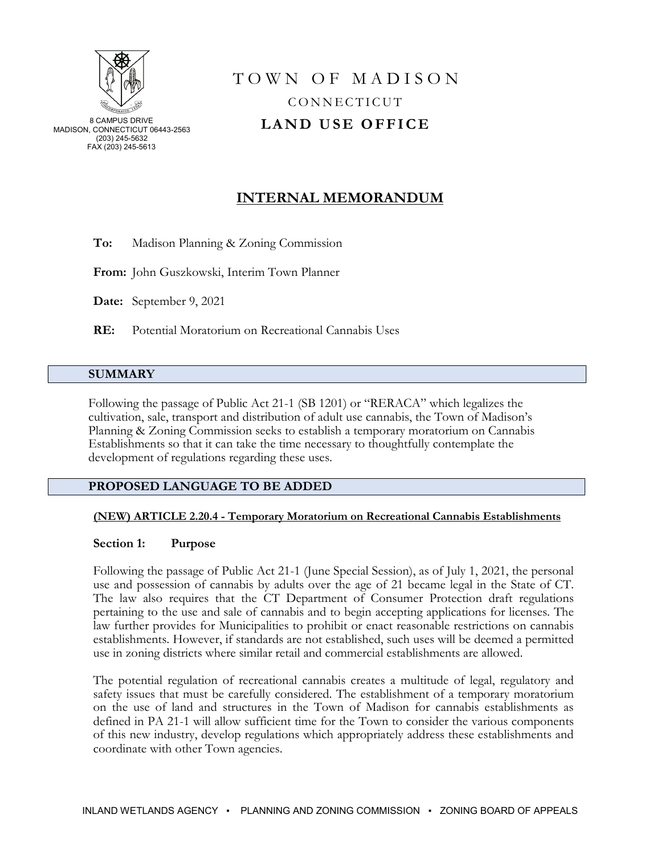

# T O W N O F M A D I S O N CONNECTICUT **LAND USE OFFICE**

# **INTERNAL MEMORANDUM**

**To:** Madison Planning & Zoning Commission

**From:** John Guszkowski, Interim Town Planner

**Date:** September 9, 2021

**RE:** Potential Moratorium on Recreational Cannabis Uses

# **SUMMARY**

Following the passage of Public Act 21-1 (SB 1201) or "RERACA" which legalizes the cultivation, sale, transport and distribution of adult use cannabis, the Town of Madison's Planning & Zoning Commission seeks to establish a temporary moratorium on Cannabis Establishments so that it can take the time necessary to thoughtfully contemplate the development of regulations regarding these uses.

# **PROPOSED LANGUAGE TO BE ADDED**

#### **(NEW) ARTICLE 2.20.4 - Temporary Moratorium on Recreational Cannabis Establishments**

#### **Section 1: Purpose**

Following the passage of Public Act 21-1 (June Special Session), as of July 1, 2021, the personal use and possession of cannabis by adults over the age of 21 became legal in the State of CT. The law also requires that the CT Department of Consumer Protection draft regulations pertaining to the use and sale of cannabis and to begin accepting applications for licenses. The law further provides for Municipalities to prohibit or enact reasonable restrictions on cannabis establishments. However, if standards are not established, such uses will be deemed a permitted use in zoning districts where similar retail and commercial establishments are allowed.

The potential regulation of recreational cannabis creates a multitude of legal, regulatory and safety issues that must be carefully considered. The establishment of a temporary moratorium on the use of land and structures in the Town of Madison for cannabis establishments as defined in PA 21-1 will allow sufficient time for the Town to consider the various components of this new industry, develop regulations which appropriately address these establishments and coordinate with other Town agencies.